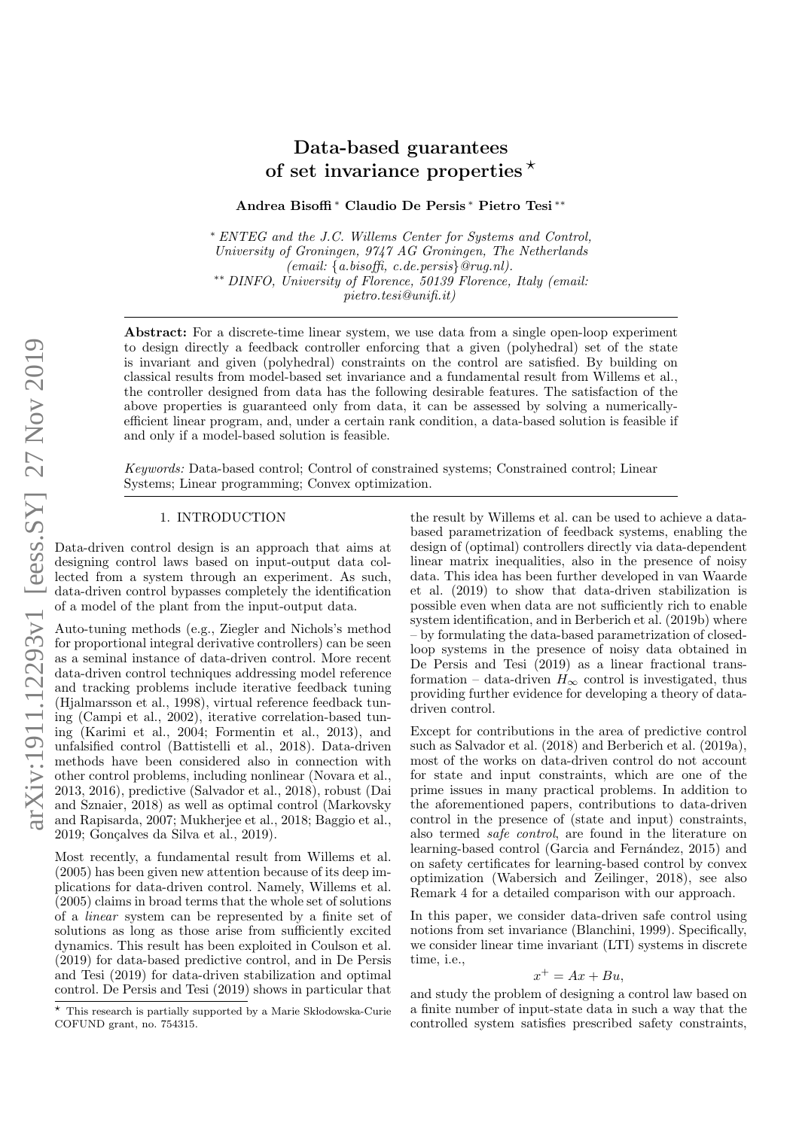# Data-based guarantees of set invariance properties  $\star$

Andrea Bisoffi <sup>∗</sup> Claudio De Persis <sup>∗</sup> Pietro Tesi ∗∗

<sup>∗</sup> ENTEG and the J.C. Willems Center for Systems and Control, University of Groningen, 9747 AG Groningen, The Netherlands (email: {a.bisoffi, c.de.persis}@rug.nl). ∗∗ DINFO, University of Florence, 50139 Florence, Italy (email: pietro.tesi@unifi.it)

Abstract: For a discrete-time linear system, we use data from a single open-loop experiment to design directly a feedback controller enforcing that a given (polyhedral) set of the state is invariant and given (polyhedral) constraints on the control are satisfied. By building on classical results from model-based set invariance and a fundamental result from Willems et al., the controller designed from data has the following desirable features. The satisfaction of the above properties is guaranteed only from data, it can be assessed by solving a numericallyefficient linear program, and, under a certain rank condition, a data-based solution is feasible if and only if a model-based solution is feasible.

Keywords: Data-based control; Control of constrained systems; Constrained control; Linear Systems; Linear programming; Convex optimization.

## 1. INTRODUCTION

Data-driven control design is an approach that aims at designing control laws based on input-output data collected from a system through an experiment. As such, data-driven control bypasses completely the identification of a model of the plant from the input-output data.

Auto-tuning methods (e.g., Ziegler and Nichols's method for proportional integral derivative controllers) can be seen as a seminal instance of data-driven control. More recent data-driven control techniques addressing model reference and tracking problems include iterative feedback tuning (Hjalmarsson et al., 1998), virtual reference feedback tuning (Campi et al., 2002), iterative correlation-based tuning (Karimi et al., 2004; Formentin et al., 2013), and unfalsified control (Battistelli et al., 2018). Data-driven methods have been considered also in connection with other control problems, including nonlinear (Novara et al., 2013, 2016), predictive (Salvador et al., 2018), robust (Dai and Sznaier, 2018) as well as optimal control (Markovsky and Rapisarda, 2007; Mukherjee et al., 2018; Baggio et al., 2019; Gonçalves da Silva et al., 2019).

Most recently, a fundamental result from Willems et al. (2005) has been given new attention because of its deep implications for data-driven control. Namely, Willems et al. (2005) claims in broad terms that the whole set of solutions of a linear system can be represented by a finite set of solutions as long as those arise from sufficiently excited dynamics. This result has been exploited in Coulson et al. (2019) for data-based predictive control, and in De Persis and Tesi (2019) for data-driven stabilization and optimal control. De Persis and Tesi (2019) shows in particular that

the result by Willems et al. can be used to achieve a databased parametrization of feedback systems, enabling the design of (optimal) controllers directly via data-dependent linear matrix inequalities, also in the presence of noisy data. This idea has been further developed in van Waarde et al. (2019) to show that data-driven stabilization is possible even when data are not sufficiently rich to enable system identification, and in Berberich et al. (2019b) where – by formulating the data-based parametrization of closedloop systems in the presence of noisy data obtained in De Persis and Tesi (2019) as a linear fractional transformation – data-driven  $H_{\infty}$  control is investigated, thus providing further evidence for developing a theory of datadriven control.

Except for contributions in the area of predictive control such as Salvador et al. (2018) and Berberich et al. (2019a), most of the works on data-driven control do not account for state and input constraints, which are one of the prime issues in many practical problems. In addition to the aforementioned papers, contributions to data-driven control in the presence of (state and input) constraints, also termed safe control, are found in the literature on learning-based control (Garcia and Fernández, 2015) and on safety certificates for learning-based control by convex optimization (Wabersich and Zeilinger, 2018), see also Remark 4 for a detailed comparison with our approach.

In this paper, we consider data-driven safe control using notions from set invariance (Blanchini, 1999). Specifically, we consider linear time invariant (LTI) systems in discrete time, i.e.,

$$
x^+ = Ax + Bu,
$$

and study the problem of designing a control law based on a finite number of input-state data in such a way that the controlled system satisfies prescribed safety constraints,

 $*$  This research is partially supported by a Marie Sk lodowska-Curie COFUND grant, no. 754315.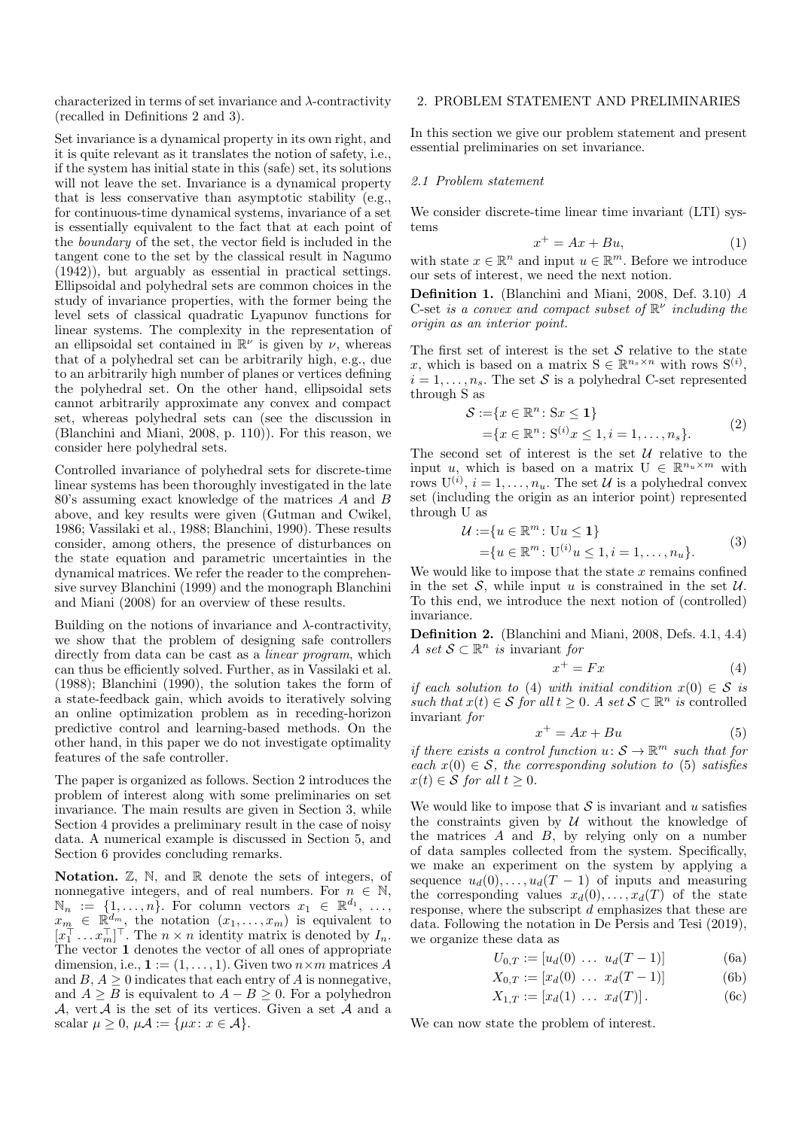characterized in terms of set invariance and  $\lambda$ -contractivity (recalled in Definitions 2 and 3).

Set invariance is a dynamical property in its own right, and it is quite relevant as it translates the notion of safety, i.e., if the system has initial state in this (safe) set, its solutions will not leave the set. Invariance is a dynamical property that is less conservative than asymptotic stability (e.g., for continuous-time dynamical systems, invariance of a set is essentially equivalent to the fact that at each point of the boundary of the set, the vector field is included in the tangent cone to the set by the classical result in Nagumo (1942)), but arguably as essential in practical settings. Ellipsoidal and polyhedral sets are common choices in the study of invariance properties, with the former being the level sets of classical quadratic Lyapunov functions for linear systems. The complexity in the representation of an ellipsoidal set contained in  $\mathbb{R}^{\nu}$  is given by  $\nu$ , whereas that of a polyhedral set can be arbitrarily high, e.g., due to an arbitrarily high number of planes or vertices defining the polyhedral set. On the other hand, ellipsoidal sets cannot arbitrarily approximate any convex and compact set, whereas polyhedral sets can (see the discussion in (Blanchini and Miani, 2008, p. 110)). For this reason, we consider here polyhedral sets.

Controlled invariance of polyhedral sets for discrete-time linear systems has been thoroughly investigated in the late 80's assuming exact knowledge of the matrices A and B above, and key results were given (Gutman and Cwikel, 1986; Vassilaki et al., 1988; Blanchini, 1990). These results consider, among others, the presence of disturbances on the state equation and parametric uncertainties in the dynamical matrices. We refer the reader to the comprehensive survey Blanchini (1999) and the monograph Blanchini and Miani (2008) for an overview of these results.

Building on the notions of invariance and  $\lambda$ -contractivity, we show that the problem of designing safe controllers directly from data can be cast as a *linear program*, which can thus be efficiently solved. Further, as in Vassilaki et al. (1988); Blanchini (1990), the solution takes the form of a state-feedback gain, which avoids to iteratively solving an online optimization problem as in receding-horizon predictive control and learning-based methods. On the other hand, in this paper we do not investigate optimality features of the safe controller.

The paper is organized as follows. Section 2 introduces the problem of interest along with some preliminaries on set invariance. The main results are given in Section 3, while Section 4 provides a preliminary result in the case of noisy data. A numerical example is discussed in Section 5, and Section 6 provides concluding remarks.

**Notation.**  $\mathbb{Z}$ ,  $\mathbb{N}$ , and  $\mathbb{R}$  denote the sets of integers, of nonnegative integers, and of real numbers. For  $n \in \mathbb{N}$ ,  $\mathbb{N}_n := \{1, \ldots, n\}.$  For column vectors  $x_1 \in \mathbb{R}^{d_1}, \ldots,$  $x_m^{\cdots} \in \mathbb{R}^{d_m}$ , the notation  $(x_1, \ldots, x_m)$  is equivalent to  $[x_1^{\top} \dots x_m^{\top}]^{\top}$ . The  $n \times n$  identity matrix is denoted by  $I_n$ . The vector 1 denotes the vector of all ones of appropriate dimension, i.e.,  $\mathbf{1} := (1, \ldots, 1)$ . Given two  $n \times m$  matrices A and  $B, A \geq 0$  indicates that each entry of A is nonnegative, and  $A \geq B$  is equivalent to  $A - B \geq 0$ . For a polyhedron  $\mathcal{A}$ , vert  $\mathcal{A}$  is the set of its vertices. Given a set  $\mathcal{A}$  and a scalar  $\mu > 0$ ,  $\mu \mathcal{A} := \{ \mu x : x \in \mathcal{A} \}.$ 

## 2. PROBLEM STATEMENT AND PRELIMINARIES

In this section we give our problem statement and present essential preliminaries on set invariance.

#### 2.1 Problem statement

We consider discrete-time linear time invariant (LTI) systems

$$
x^+ = Ax + Bu,\tag{1}
$$

with state  $x \in \mathbb{R}^n$  and input  $u \in \mathbb{R}^m$ . Before we introduce our sets of interest, we need the next notion.

Definition 1. (Blanchini and Miani, 2008, Def. 3.10) A C-set is a convex and compact subset of  $\mathbb{R}^{\nu}$  including the origin as an interior point.

The first set of interest is the set  $S$  relative to the state x, which is based on a matrix  $S \in \mathbb{R}^{n_s \times n}$  with rows  $S^{(i)}$ ,  $i = 1, \ldots, n_s$ . The set S is a polyhedral C-set represented through S as

$$
S := \{x \in \mathbb{R}^n : Sx \le 1\}
$$
  
=  $\{x \in \mathbb{R}^n : S^{(i)}x \le 1, i = 1, ..., n_s\}.$  (2)

The second set of interest is the set  $\mathcal U$  relative to the input u, which is based on a matrix  $U \in \mathbb{R}^{n_u \times m}$  with rows  $U^{(i)}$ ,  $i = 1, ..., n_u$ . The set  $\mathcal U$  is a polyhedral convex set (including the origin as an interior point) represented through U as

$$
\mathcal{U} := \{ u \in \mathbb{R}^m : \mathrm{U}u \le 1 \} = \{ u \in \mathbb{R}^m : \mathrm{U}^{(i)}u \le 1, i = 1, \dots, n_u \}.
$$
 (3)

We would like to impose that the state  $x$  remains confined in the set S, while input u is constrained in the set  $U$ . To this end, we introduce the next notion of (controlled) invariance.

Definition 2. (Blanchini and Miani, 2008, Defs. 4.1, 4.4) A set  $\mathcal{S} \subset \mathbb{R}^n$  is invariant for

$$
x^+ = Fx \tag{4}
$$

if each solution to (4) with initial condition  $x(0) \in S$  is such that  $x(t) \in S$  for all  $t \geq 0$ . A set  $S \subset \mathbb{R}^n$  is controlled invariant for

$$
x^+ = Ax + Bu \tag{5}
$$

if there exists a control function  $u: \mathcal{S} \to \mathbb{R}^m$  such that for each  $x(0) \in S$ , the corresponding solution to (5) satisfies  $x(t) \in S$  for all  $t \geq 0$ .

We would like to impose that  $S$  is invariant and u satisfies the constraints given by  $U$  without the knowledge of the matrices  $A$  and  $B$ , by relying only on a number of data samples collected from the system. Specifically, we make an experiment on the system by applying a sequence  $u_d(0), \ldots, u_d(T-1)$  of inputs and measuring the corresponding values  $x_d(0), \ldots, x_d(T)$  of the state response, where the subscript d emphasizes that these are data. Following the notation in De Persis and Tesi (2019), we organize these data as

$$
U_{0,T} := [u_d(0) \dots u_d(T-1)] \tag{6a}
$$

$$
X_{0,T} := [x_d(0) \dots x_d(T-1)] \tag{6b}
$$

$$
X_{1,T} := [x_d(1) \dots x_d(T)]. \tag{6c}
$$

We can now state the problem of interest.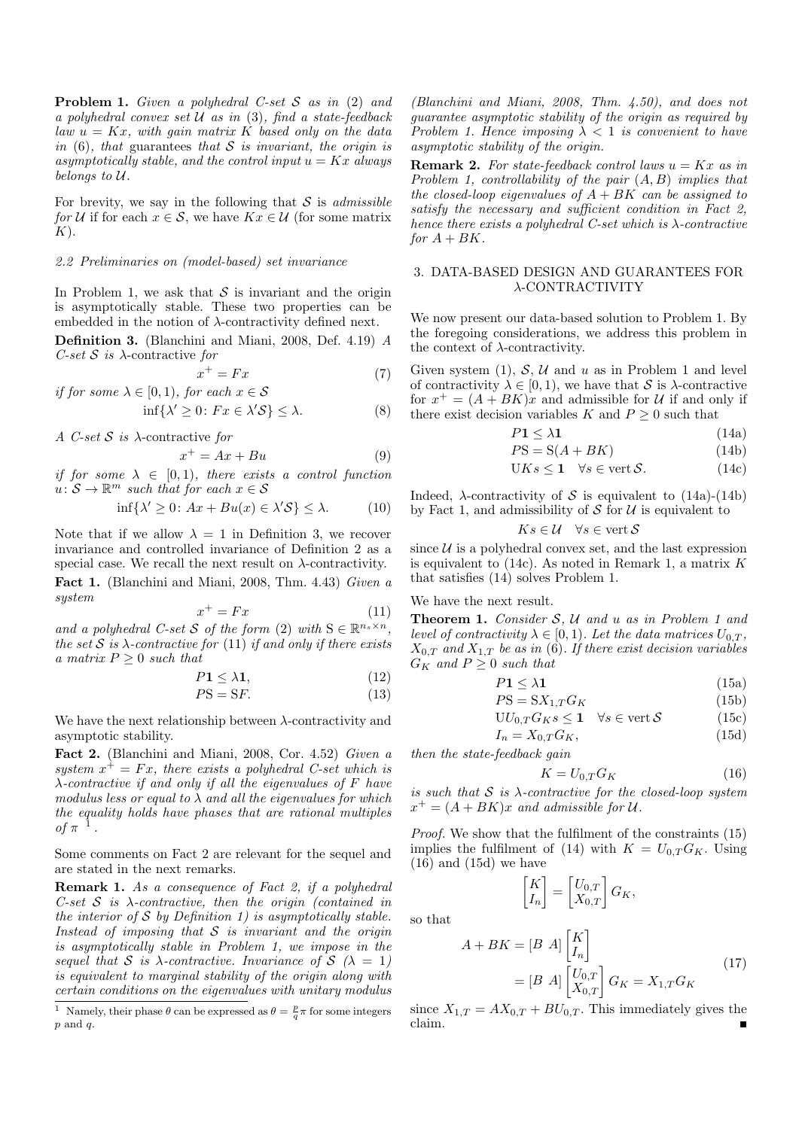**Problem 1.** Given a polyhedral C-set  $S$  as in (2) and a polyhedral convex set  $U$  as in (3), find a state-feedback law  $u = Kx$ , with gain matrix K based only on the data in  $(6)$ , that guarantees that S is invariant, the origin is asymptotically stable, and the control input  $u = Kx$  always belongs to U.

For brevity, we say in the following that  $S$  is *admissible* for U if for each  $x \in \mathcal{S}$ , we have  $Kx \in \mathcal{U}$  (for some matrix  $K$ ).

## 2.2 Preliminaries on (model-based) set invariance

In Problem 1, we ask that  $S$  is invariant and the origin is asymptotically stable. These two properties can be embedded in the notion of  $\lambda$ -contractivity defined next.

Definition 3. (Blanchini and Miani, 2008, Def. 4.19) A C-set  $S$  is  $\lambda$ -contractive for

$$
x^+ = Fx \tag{7}
$$

if for some 
$$
\lambda \in [0,1)
$$
, for each  $x \in \mathcal{S}$ 

$$
\inf \{ \lambda' \ge 0 \colon Fx \in \lambda' \mathcal{S} \} \le \lambda. \tag{8}
$$

A C-set  $S$  is  $\lambda$ -contractive for

$$
x^+ = Ax + Bu \tag{9}
$$

if for some  $\lambda \in [0,1)$ , there exists a control function  $u: \mathcal{S} \to \mathbb{R}^m$  such that for each  $x \in \mathcal{S}$ 

$$
\inf \{ \lambda' \ge 0 \colon Ax + Bu(x) \in \lambda' \mathcal{S} \} \le \lambda. \tag{10}
$$

Note that if we allow  $\lambda = 1$  in Definition 3, we recover invariance and controlled invariance of Definition 2 as a special case. We recall the next result on  $\lambda$ -contractivity.

Fact 1. (Blanchini and Miani, 2008, Thm. 4.43) Given a system

$$
x^+ = Fx \tag{11}
$$

and a polyhedral C-set S of the form (2) with  $S \in \mathbb{R}^{n_s \times n}$ , the set  $S$  is  $\lambda$ -contractive for (11) if and only if there exists a matrix  $P \geq 0$  such that

$$
P1 \le \lambda 1,\tag{12}
$$

$$
PS = SF.
$$
 (13)

We have the next relationship between  $\lambda$ -contractivity and asymptotic stability.

Fact 2. (Blanchini and Miani, 2008, Cor. 4.52) Given a system  $x^+ = Fx$ , there exists a polyhedral C-set which is  $\lambda$ -contractive if and only if all the eigenvalues of F have modulus less or equal to  $\lambda$  and all the eigenvalues for which the equality holds have phases that are rational multiples of  $\pi^{-1}$ .

Some comments on Fact 2 are relevant for the sequel and are stated in the next remarks.

Remark 1. As a consequence of Fact 2, if a polyhedral C-set  $S$  is  $\lambda$ -contractive, then the origin (contained in the interior of  $S$  by Definition 1) is asymptotically stable. Instead of imposing that  $S$  is invariant and the origin is asymptotically stable in Problem 1, we impose in the sequel that S is  $\lambda$ -contractive. Invariance of  $\mathcal{S}$  ( $\lambda = 1$ ) is equivalent to marginal stability of the origin along with certain conditions on the eigenvalues with unitary modulus

(Blanchini and Miani, 2008, Thm. 4.50), and does not guarantee asymptotic stability of the origin as required by Problem 1. Hence imposing  $\lambda < 1$  is convenient to have asymptotic stability of the origin.

**Remark 2.** For state-feedback control laws  $u = Kx$  as in Problem 1, controllability of the pair  $(A, B)$  implies that the closed-loop eigenvalues of  $A + BK$  can be assigned to satisfy the necessary and sufficient condition in Fact 2, hence there exists a polyhedral C-set which is  $\lambda$ -contractive for  $A + BK$ .

## 3. DATA-BASED DESIGN AND GUARANTEES FOR λ-CONTRACTIVITY

We now present our data-based solution to Problem 1. By the foregoing considerations, we address this problem in the context of  $\lambda$ -contractivity.

Given system  $(1)$ , S, U and u as in Problem 1 and level of contractivity  $\lambda \in [0, 1)$ , we have that S is  $\lambda$ -contractive for  $x^+ = (A + BK)x$  and admissible for U if and only if there exist decision variables K and  $P \geq 0$  such that

$$
P1 \le \lambda 1\tag{14a}
$$

$$
PS = S(A + BK) \tag{14b}
$$

$$
UKs \le 1 \quad \forall s \in \text{vert } \mathcal{S}. \tag{14c}
$$

Indeed,  $\lambda$ -contractivity of S is equivalent to (14a)-(14b) by Fact 1, and admissibility of  $S$  for  $U$  is equivalent to

$$
Ks \in \mathcal{U} \quad \forall s \in \text{vert } \mathcal{S}
$$

since  $U$  is a polyhedral convex set, and the last expression is equivalent to  $(14c)$ . As noted in Remark 1, a matrix K that satisfies (14) solves Problem 1.

#### We have the next result.

**Theorem 1.** Consider  $S$ ,  $U$  and  $u$  as in Problem 1 and level of contractivity  $\lambda \in [0, 1)$ . Let the data matrices  $U_{0,T}$ ,  $X_{0,T}$  and  $X_{1,T}$  be as in (6). If there exist decision variables  $G_K$  and  $P \geq 0$  such that

$$
P1 \le \lambda 1\tag{15a}
$$

$$
PS = S X_{1,T} G_K \tag{15b}
$$

$$
UU_{0,T}G_Ks \le 1 \quad \forall s \in \text{vert } \mathcal{S}
$$
 (15c)

$$
I_n = X_{0,T} G_K, \t\t(15d)
$$

then the state-feedback gain

$$
(16)
$$

is such that  $S$  is  $\lambda$ -contractive for the closed-loop system  $x^+ = (A + BK)x$  and admissible for U.

 $K = U_{0,T} G_K$ 

Proof. We show that the fulfilment of the constraints (15) implies the fulfilment of (14) with  $K = U_{0,T} G_K$ . Using  $(16)$  and  $(15d)$  we have

$$
\begin{bmatrix} K \\ I_n \end{bmatrix} = \begin{bmatrix} U_{0,T} \\ X_{0,T} \end{bmatrix} G_K,
$$

so that

$$
A + BK = [B \ A] \begin{bmatrix} K \\ I_n \end{bmatrix}
$$
  
=  $[B \ A] \begin{bmatrix} U_{0,T} \\ X_{0,T} \end{bmatrix} G_K = X_{1,T} G_K$  (17)

since  $X_{1,T} = AX_{0,T} + BU_{0,T}$ . This immediately gives the claim. claim.

<sup>&</sup>lt;sup>1</sup> Namely, their phase  $\theta$  can be expressed as  $\theta = \frac{p}{q}\pi$  for some integers  $p$  and  $q$ .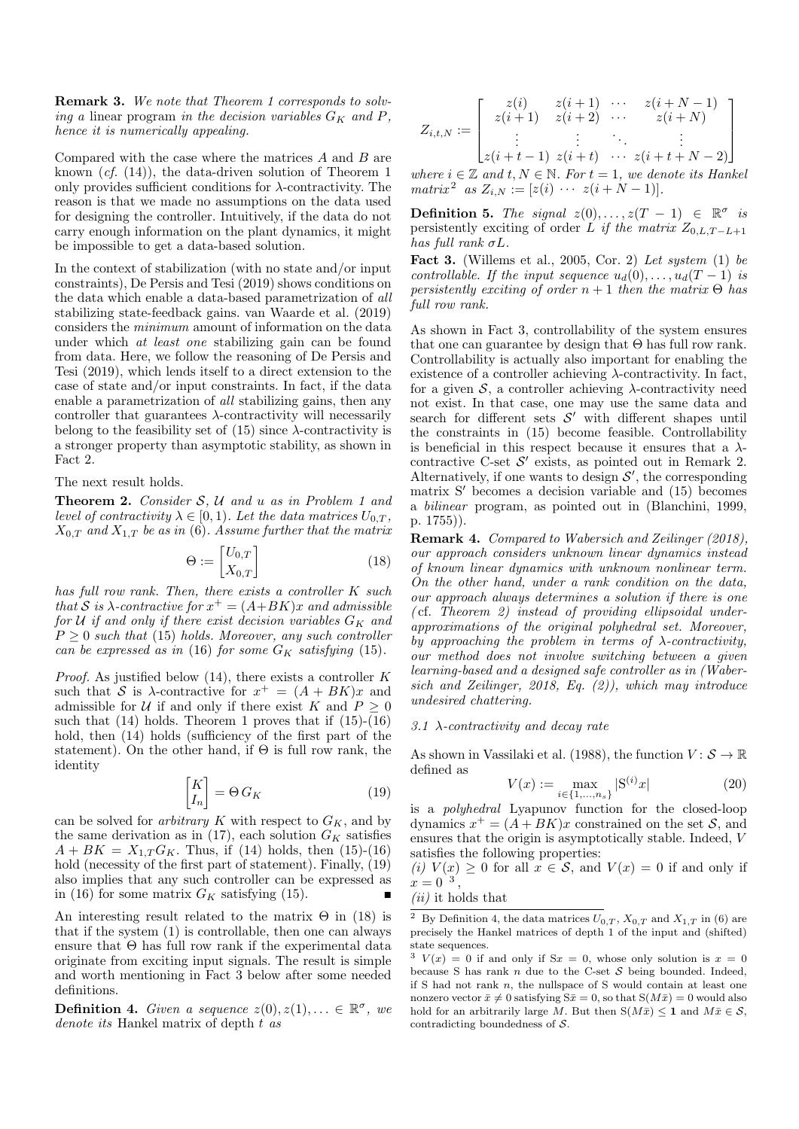Remark 3. We note that Theorem 1 corresponds to solving a linear program in the decision variables  $G_K$  and P, hence it is numerically appealing.

Compared with the case where the matrices A and B are known (cf. (14)), the data-driven solution of Theorem 1 only provides sufficient conditions for  $\lambda$ -contractivity. The reason is that we made no assumptions on the data used for designing the controller. Intuitively, if the data do not carry enough information on the plant dynamics, it might be impossible to get a data-based solution.

In the context of stabilization (with no state and/or input constraints), De Persis and Tesi (2019) shows conditions on the data which enable a data-based parametrization of all stabilizing state-feedback gains. van Waarde et al. (2019) considers the minimum amount of information on the data under which at least one stabilizing gain can be found from data. Here, we follow the reasoning of De Persis and Tesi (2019), which lends itself to a direct extension to the case of state and/or input constraints. In fact, if the data enable a parametrization of all stabilizing gains, then any controller that guarantees  $\lambda$ -contractivity will necessarily belong to the feasibility set of  $(15)$  since  $\lambda$ -contractivity is a stronger property than asymptotic stability, as shown in Fact 2.

The next result holds.

**Theorem 2.** Consider  $S$ ,  $U$  and  $u$  as in Problem 1 and level of contractivity  $\lambda \in [0,1)$ . Let the data matrices  $U_{0,T}$ ,  $X_{0,T}$  and  $X_{1,T}$  be as in (6). Assume further that the matrix

$$
\Theta := \begin{bmatrix} U_{0,T} \\ X_{0,T} \end{bmatrix} \tag{18}
$$

has full row rank. Then, there exists a controller K such that S is  $\lambda$ -contractive for  $x^+ = (A+BK)x$  and admissible for U if and only if there exist decision variables  $G_K$  and  $P \geq 0$  such that (15) holds. Moreover, any such controller can be expressed as in (16) for some  $G_K$  satisfying (15).

*Proof.* As justified below  $(14)$ , there exists a controller K such that S is  $\lambda$ -contractive for  $x^+ = (A + BK)x$  and admissible for U if and only if there exist K and  $P \geq 0$ such that  $(14)$  holds. Theorem 1 proves that if  $(15)-(16)$ hold, then  $(14)$  holds (sufficiency of the first part of the statement). On the other hand, if  $\Theta$  is full row rank, the identity

$$
\begin{bmatrix} K \\ I_n \end{bmatrix} = \Theta \, G_K \tag{19}
$$

can be solved for *arbitrary* K with respect to  $G_K$ , and by the same derivation as in (17), each solution  $G_K$  satisfies  $A + BK = X_{1,T} G_K$ . Thus, if (14) holds, then (15)-(16) hold (necessity of the first part of statement). Finally,  $(19)$ also implies that any such controller can be expressed as in (16) for some matrix  $G_K$  satisfying (15).

An interesting result related to the matrix  $\Theta$  in (18) is that if the system (1) is controllable, then one can always ensure that Θ has full row rank if the experimental data originate from exciting input signals. The result is simple and worth mentioning in Fact 3 below after some needed definitions.

**Definition 4.** Given a sequence  $z(0), z(1), \ldots \in \mathbb{R}^{\sigma}$ , we denote its Hankel matrix of depth  $t$  as

$$
Z_{i,t,N} := \begin{bmatrix} z(i) & z(i+1) & \cdots & z(i+N-1) \\ z(i+1) & z(i+2) & \cdots & z(i+N) \\ \vdots & \vdots & \ddots & \vdots \\ z(i+t-1) & z(i+t) & \cdots & z(i+t+N-2) \end{bmatrix}
$$

where  $i \in \mathbb{Z}$  and  $t, N \in \mathbb{N}$ . For  $t = 1$ , we denote its Hankel matrix<sup>2</sup> as  $Z_{i,N} := [z(i) \cdots z(i+N-1)].$ 

Definition 5. The signal  $z(0), \ldots, z(T-1) \in \mathbb{R}^{\sigma}$  is persistently exciting of order L if the matrix  $Z_{0,L,T-L+1}$ has full rank  $\sigma L$ .

Fact 3. (Willems et al., 2005, Cor. 2) Let system  $(1)$  be controllable. If the input sequence  $u_d(0), \ldots, u_d(T-1)$  is persistently exciting of order  $n + 1$  then the matrix  $\Theta$  has full row rank.

As shown in Fact 3, controllability of the system ensures that one can guarantee by design that  $\Theta$  has full row rank. Controllability is actually also important for enabling the existence of a controller achieving  $\lambda$ -contractivity. In fact, for a given  $S$ , a controller achieving  $\lambda$ -contractivity need not exist. In that case, one may use the same data and search for different sets  $S'$  with different shapes until the constraints in (15) become feasible. Controllability is beneficial in this respect because it ensures that a  $\lambda$ contractive C-set  $\mathcal{S}'$  exists, as pointed out in Remark 2. Alternatively, if one wants to design  $S'$ , the corresponding matrix S' becomes a decision variable and  $(15)$  becomes a bilinear program, as pointed out in (Blanchini, 1999, p. 1755)).

Remark 4. Compared to Wabersich and Zeilinger (2018), our approach considers unknown linear dynamics instead of known linear dynamics with unknown nonlinear term. On the other hand, under a rank condition on the data, our approach always determines a solution if there is one ( cf. Theorem 2) instead of providing ellipsoidal underapproximations of the original polyhedral set. Moreover, by approaching the problem in terms of  $\lambda$ -contractivity, our method does not involve switching between a given learning-based and a designed safe controller as in (Wabersich and Zeilinger, 2018, Eq. (2)), which may introduce undesired chattering.

## 3.1  $\lambda$ -contractivity and decay rate

As shown in Vassilaki et al. (1988), the function  $V: \mathcal{S} \to \mathbb{R}$ defined as

$$
V(x) := \max_{i \in \{1, \dots, n_s\}} |\mathcal{S}^{(i)} x|
$$
 (20)

is a polyhedral Lyapunov function for the closed-loop dynamics  $x^+ = (A + BK)x$  constrained on the set S, and ensures that the origin is asymptotically stable. Indeed, V satisfies the following properties:

(i)  $V(x) \geq 0$  for all  $x \in S$ , and  $V(x) = 0$  if and only if  $x=0^{\degree 3}$ ,

(ii) it holds that

<sup>&</sup>lt;sup>2</sup> By Definition 4, the data matrices  $U_{0,T}$ ,  $X_{0,T}$  and  $X_{1,T}$  in (6) are precisely the Hankel matrices of depth 1 of the input and (shifted) state sequences.

 $3 \ V(x) = 0$  if and only if  $Sx = 0$ , whose only solution is  $x = 0$ because S has rank  $n$  due to the C-set  $S$  being bounded. Indeed, if S had not rank  $n$ , the nullspace of S would contain at least one nonzero vector  $\bar{x} \neq 0$  satisfying  $S\bar{x} = 0$ , so that  $S(M\bar{x}) = 0$  would also hold for an arbitrarily large M. But then  $S(M\bar{x}) \leq 1$  and  $M\bar{x} \in \mathcal{S}$ , contradicting boundedness of S.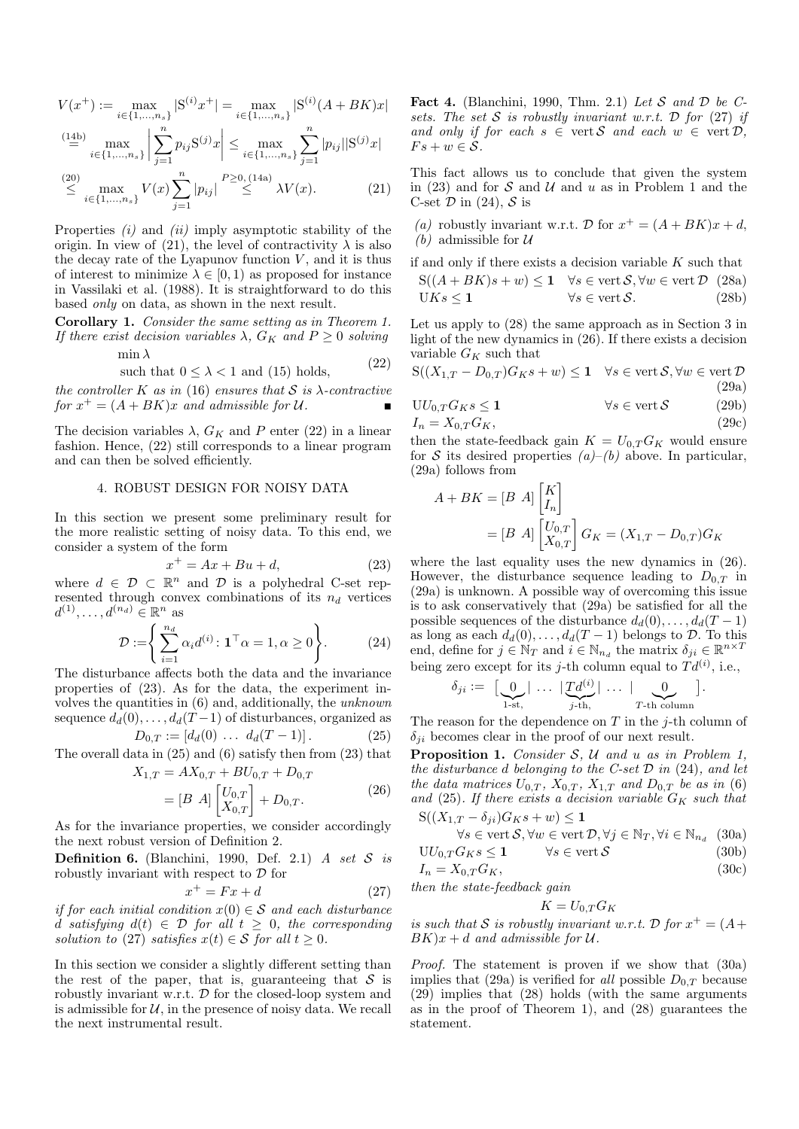$$
V(x^+) := \max_{i \in \{1, \dots, n_s\}} |S^{(i)}x^+| = \max_{i \in \{1, \dots, n_s\}} |S^{(i)}(A + BK)x|
$$
  

$$
\stackrel{(14b)}{=} \max_{i \in \{1, \dots, n_s\}} \left| \sum_{j=1}^n p_{ij} S^{(j)} x \right| \le \max_{i \in \{1, \dots, n_s\}} \sum_{j=1}^n |p_{ij}| |S^{(j)}x|
$$

$$
\stackrel{(20)}{\leq} \max_{i \in \{1, \dots, n_s\}} V(x) \sum_{j=1}^n |p_{ij}| \stackrel{P \geq 0, (14a)}{\leq} \lambda V(x). \tag{21}
$$

Properties  $(i)$  and  $(ii)$  imply asymptotic stability of the origin. In view of (21), the level of contractivity  $\lambda$  is also the decay rate of the Lyapunov function  $V$ , and it is thus of interest to minimize  $\lambda \in [0, 1)$  as proposed for instance in Vassilaki et al. (1988). It is straightforward to do this based only on data, as shown in the next result.

Corollary 1. Consider the same setting as in Theorem 1. If there exist decision variables  $\lambda$ ,  $G_K$  and  $P \geq 0$  solving min  $\lambda$ 

such that 
$$
0 \le \lambda < 1
$$
 and (15) holds, (22)

the controller K as in (16) ensures that S is  $\lambda$ -contractive for  $x^+ = (A + BK)x$  and admissible for U.

The decision variables  $\lambda$ ,  $G_K$  and P enter (22) in a linear fashion. Hence, (22) still corresponds to a linear program and can then be solved efficiently.

# 4. ROBUST DESIGN FOR NOISY DATA

In this section we present some preliminary result for the more realistic setting of noisy data. To this end, we consider a system of the form

$$
x^+ = Ax + Bu + d,\t\t(23)
$$

where  $d \in \mathcal{D} \subset \mathbb{R}^n$  and  $\mathcal{D}$  is a polyhedral C-set represented through convex combinations of its  $n_d$  vertices  $d^{(1)}, \ldots, d^{(n_d)} \in \mathbb{R}^n$  as

$$
\mathcal{D} := \left\{ \sum_{i=1}^{n_d} \alpha_i d^{(i)} \colon \mathbf{1}^\top \alpha = 1, \alpha \ge 0 \right\}.
$$
 (24)

The disturbance affects both the data and the invariance properties of (23). As for the data, the experiment involves the quantities in (6) and, additionally, the unknown sequence  $d_d(0), \ldots, d_d(T-1)$  of disturbances, organized as

$$
D_{0,T} := [d_d(0) \dots d_d(T-1)].
$$
 (25)

The overall data in (25) and (6) satisfy then from (23) that

$$
X_{1,T} = AX_{0,T} + BU_{0,T} + D_{0,T}
$$
  
=  $[B \ A] \begin{bmatrix} U_{0,T} \\ X_{0,T} \end{bmatrix} + D_{0,T}.$  (26)

As for the invariance properties, we consider accordingly the next robust version of Definition 2.

**Definition 6.** (Blanchini, 1990, Def. 2.1) A set  $S$  is robustly invariant with respect to  $\mathcal D$  for

$$
x^+ = Fx + d \tag{27}
$$

if for each initial condition  $x(0) \in S$  and each disturbance d satisfying  $d(t) \in \mathcal{D}$  for all  $t \geq 0$ , the corresponding solution to (27) satisfies  $x(t) \in S$  for all  $t \geq 0$ .

In this section we consider a slightly different setting than the rest of the paper, that is, guaranteeing that  $S$  is robustly invariant w.r.t. D for the closed-loop system and is admissible for  $U$ , in the presence of noisy data. We recall the next instrumental result.

Fact 4. (Blanchini, 1990, Thm. 2.1) Let S and D be Csets. The set S is robustly invariant w.r.t.  $\mathcal D$  for (27) if and only if for each  $s \in \text{vert } \mathcal{S}$  and each  $w \in \text{vert } \mathcal{D}$ ,  $Fs + w \in \mathcal{S}.$ 

This fact allows us to conclude that given the system in (23) and for  $S$  and  $U$  and u as in Problem 1 and the C-set  $\mathcal D$  in (24),  $\mathcal S$  is

(a) robustly invariant w.r.t. D for  $x^+ = (A + BK)x + d$ , (b) admissible for  $U$ 

if and only if there exists a decision variable  $K$  such that

$$
S((A+BK)s+w) \le 1 \quad \forall s \in \text{vert } S, \forall w \in \text{vert } \mathcal{D} \quad (28a)
$$
  
 
$$
UKs \le 1 \qquad \forall s \in \text{vert } S. \tag{28b}
$$

Let us apply to (28) the same approach as in Section 3 in light of the new dynamics in (26). If there exists a decision variable  $G_K$  such that

$$
S((X_{1,T} - D_{0,T})G_K s + w) \le 1 \quad \forall s \in \text{vert } \mathcal{S}, \forall w \in \text{vert } \mathcal{D}
$$
\n(29a)

$$
UU_{0,T}G_Ks \le 1 \t\t \forall s \in \text{vert } S \t (29b)
$$
  

$$
I_n = X_{0,T}G_K,
$$
 (29c)

then the state-feedback gain  $K = U_{0,T} G_K$  would ensure for S its desired properties  $(a)$ – $(b)$  above. In particular, (29a) follows from

$$
A + BK = [B \ A] \begin{bmatrix} K \\ I_n \end{bmatrix}
$$
  
=  $[B \ A] \begin{bmatrix} U_{0,T} \\ X_{0,T} \end{bmatrix} G_K = (X_{1,T} - D_{0,T}) G_K$ 

where the last equality uses the new dynamics in (26). However, the disturbance sequence leading to  $D_{0,T}$  in (29a) is unknown. A possible way of overcoming this issue is to ask conservatively that (29a) be satisfied for all the possible sequences of the disturbance  $d_d(0), \ldots, d_d(T-1)$ as long as each  $d_d(0), \ldots, d_d(T-1)$  belongs to  $\mathcal D$ . To this end, define for  $j \in \mathbb{N}_T$  and  $i \in \mathbb{N}_{n_d}$  the matrix  $\delta_{ji} \in \mathbb{R}^{n \times T}$ being zero except for its j-th column equal to  $Td^{(i)}$ , i.e.,

$$
\delta_{ji} := \left[ \underbrace{0}_{1\text{-st},} \mid \ldots \mid \underbrace{Td^{(i)}}_{j\text{-th},} \mid \ldots \mid \underbrace{0}_{T\text{-th column}} \right].
$$

The reason for the dependence on  $T$  in the j-th column of  $\delta_{ji}$  becomes clear in the proof of our next result.

**Proposition 1.** Consider  $S$ ,  $U$  and  $u$  as in Problem 1, the disturbance d belonging to the C-set  $D$  in (24), and let the data matrices  $U_{0,T}$ ,  $X_{0,T}$ ,  $X_{1,T}$  and  $D_{0,T}$  be as in (6) and (25). If there exists a decision variable  $G_K$  such that<br> $S((X_1 \tau - \delta_{ii})(G_{K} s + w) \leq 1$  $S = \frac{\delta}{\delta}$ . $|G_{rr} s + w| < 1$ 

$$
\forall s \in \text{vert } \mathcal{S}, \forall w \in \text{vert } \mathcal{D}, \forall i \in \mathbb{N}_T, \forall i \in \mathbb{N}_n, (30a)
$$

$$
\forall s \in \text{vert } \mathcal{S}, \forall w \in \text{vert } D, \forall j \in \mathbb{N}_T, \forall i \in \mathbb{N}_{n_d} \quad (30a)
$$
  
 
$$
\forall s \in \text{vert } \mathcal{S} \qquad (30b)
$$

$$
I_n = X_{0,T}G_K, \tag{300}
$$
\n
$$
I_n = X_{0,T}G_K, \tag{301}
$$

then the state-feedback gain

$$
K = U_{0,T} G_K
$$

is such that S is robustly invariant w.r.t. D for  $x^+ = (A +$  $BK)x + d$  and admissible for U.

Proof. The statement is proven if we show that (30a) implies that (29a) is verified for all possible  $D_{0,T}$  because (29) implies that (28) holds (with the same arguments as in the proof of Theorem 1), and (28) guarantees the statement.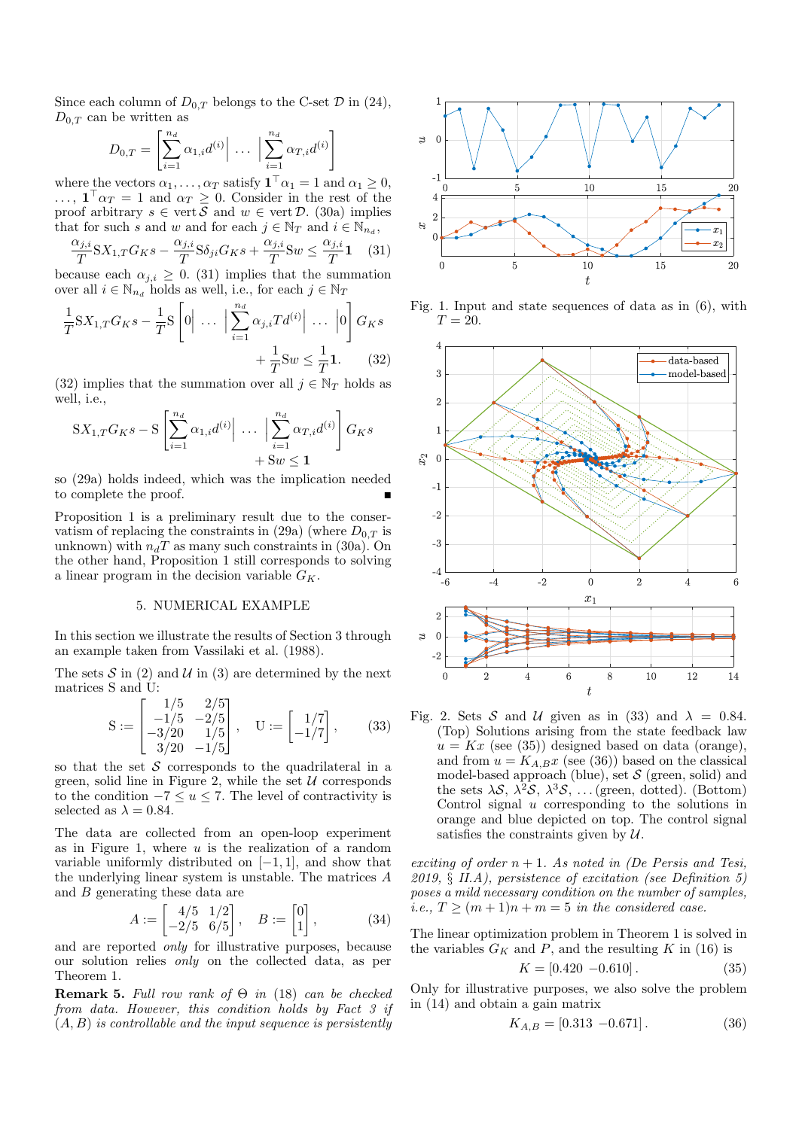Since each column of  $D_{0,T}$  belongs to the C-set  $\mathcal D$  in (24),  $D_{0,T}$  can be written as

$$
D_{0,T} = \left[ \sum_{i=1}^{n_d} \alpha_{1,i} d^{(i)} \Big| \cdots \Big| \sum_{i=1}^{n_d} \alpha_{T,i} d^{(i)} \right]
$$

where the vectors  $\alpha_1, \ldots, \alpha_T$  satisfy  $\mathbf{1}^\top \alpha_1 = 1$  and  $\alpha_1 \geq 0$ ,  $\ldots$ ,  $\mathbf{1}^{\top} \alpha_T = 1$  and  $\alpha_T \geq 0$ . Consider in the rest of the proof arbitrary  $s \in \text{vert } \mathcal{S}$  and  $w \in \text{vert } \mathcal{D}$ . (30a) implies that for such s and w and for each  $j \in \mathbb{N}_T$  and  $i \in \mathbb{N}_{n_d}$ ,

$$
\frac{\alpha_{j,i}}{T} SX_{1,T} G_K s - \frac{\alpha_{j,i}}{T} S \delta_{ji} G_K s + \frac{\alpha_{j,i}}{T} Sw \le \frac{\alpha_{j,i}}{T} 1 \quad (31)
$$

because each  $\alpha_{j,i} \geq 0$ . (31) implies that the summation over all  $i \in \mathbb{N}_{n_d}$  holds as well, i.e., for each  $j \in \mathbb{N}_T$ 

$$
\frac{1}{T}SX_{1,T}G_{K}s - \frac{1}{T}S\left[0\right] \cdots \left|\sum_{i=1}^{n_d} \alpha_{j,i}Td^{(i)}\right| \cdots \left|0\right]G_{K}s
$$

$$
+ \frac{1}{T}Sw \leq \frac{1}{T}\mathbf{1}.
$$
 (32)

(32) implies that the summation over all  $j \in \mathbb{N}_T$  holds as well, i.e.,

$$
SX_{1,T}G_Ks - S\left[\sum_{i=1}^{n_d} \alpha_{1,i} d^{(i)} \Big| \cdots \Big| \sum_{i=1}^{n_d} \alpha_{T,i} d^{(i)}\right] G_Ks + Sw \le 1
$$

so (29a) holds indeed, which was the implication needed to complete the proof.

Proposition 1 is a preliminary result due to the conservatism of replacing the constraints in (29a) (where  $D_{0,T}$  is unknown) with  $n_dT$  as many such constraints in (30a). On the other hand, Proposition 1 still corresponds to solving a linear program in the decision variable  $G_K$ .

## 5. NUMERICAL EXAMPLE

In this section we illustrate the results of Section 3 through an example taken from Vassilaki et al. (1988).

The sets  $S$  in (2) and  $U$  in (3) are determined by the next matrices S and U:

$$
S := \begin{bmatrix} 1/5 & 2/5 \\ -1/5 & -2/5 \\ -3/20 & 1/5 \\ 3/20 & -1/5 \end{bmatrix}, \quad U := \begin{bmatrix} 1/7 \\ -1/7 \end{bmatrix}, \quad (33)
$$

so that the set  $S$  corresponds to the quadrilateral in a green, solid line in Figure 2, while the set  $U$  corresponds to the condition  $-7 \le u \le 7$ . The level of contractivity is selected as  $\lambda = 0.84$ .

The data are collected from an open-loop experiment as in Figure 1, where  $u$  is the realization of a random variable uniformly distributed on  $[-1, 1]$ , and show that the underlying linear system is unstable. The matrices A and B generating these data are

$$
A := \begin{bmatrix} 4/5 & 1/2 \\ -2/5 & 6/5 \end{bmatrix}, \quad B := \begin{bmatrix} 0 \\ 1 \end{bmatrix}, \tag{34}
$$

and are reported only for illustrative purposes, because our solution relies only on the collected data, as per Theorem 1.

**Remark 5.** Full row rank of  $\Theta$  in (18) can be checked from data. However, this condition holds by Fact 3 if  $(A, B)$  is controllable and the input sequence is persistently



Fig. 1. Input and state sequences of data as in (6), with  $T=20$ .



Fig. 2. Sets S and U given as in (33) and  $\lambda = 0.84$ . (Top) Solutions arising from the state feedback law  $u = Kx$  (see (35)) designed based on data (orange), and from  $u = K_{A,B}x$  (see (36)) based on the classical model-based approach (blue), set  $S$  (green, solid) and the sets  $\lambda S$ ,  $\lambda^2 S$ ,  $\lambda^3 S$ , ... (green, dotted). (Bottom) Control signal  $u$  corresponding to the solutions in orange and blue depicted on top. The control signal satisfies the constraints given by  $U$ .

exciting of order  $n + 1$ . As noted in (De Persis and Tesi, 2019,  $\S$  II.A), persistence of excitation (see Definition 5) poses a mild necessary condition on the number of samples, i.e.,  $T \ge (m+1)n + m = 5$  in the considered case.

The linear optimization problem in Theorem 1 is solved in the variables  $G_K$  and P, and the resulting K in (16) is

$$
K = [0.420 - 0.610]. \tag{35}
$$

Only for illustrative purposes, we also solve the problem in (14) and obtain a gain matrix

$$
K_{A,B} = [0.313 - 0.671]. \tag{36}
$$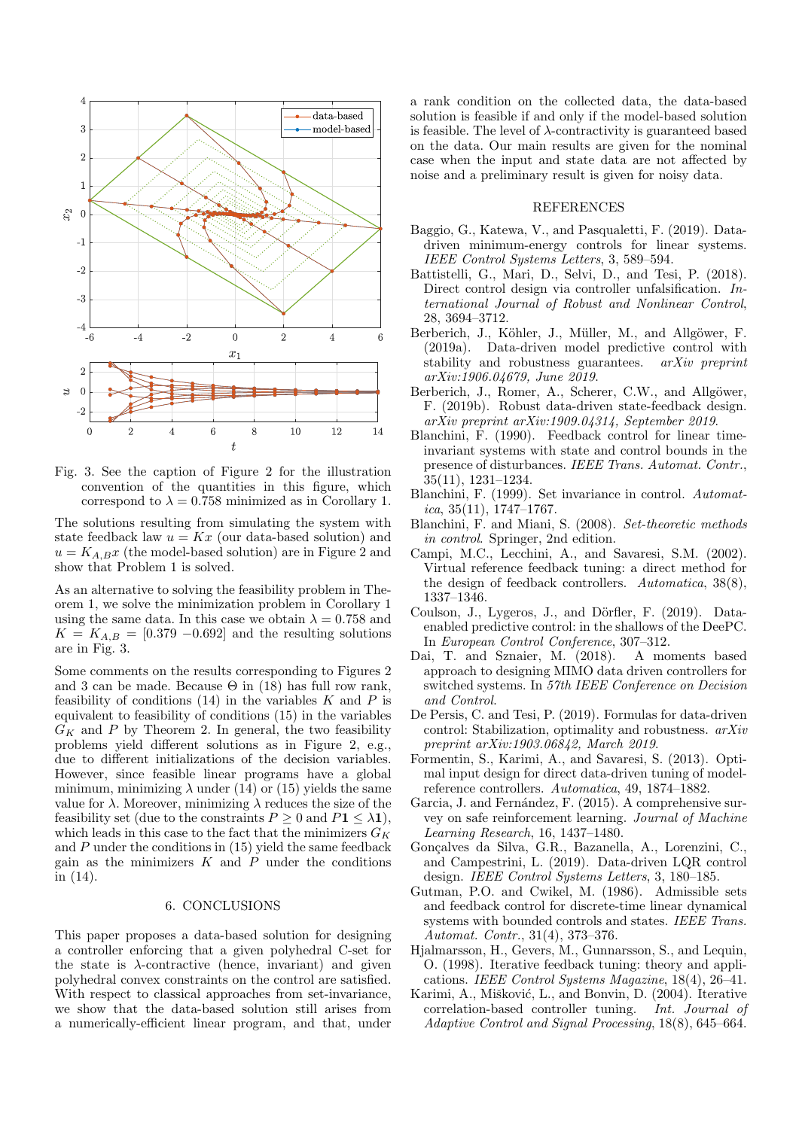

Fig. 3. See the caption of Figure 2 for the illustration convention of the quantities in this figure, which correspond to  $\lambda = 0.758$  minimized as in Corollary 1.

The solutions resulting from simulating the system with state feedback law  $u = Kx$  (our data-based solution) and  $u = K_{A,B}x$  (the model-based solution) are in Figure 2 and show that Problem 1 is solved.

As an alternative to solving the feasibility problem in Theorem 1, we solve the minimization problem in Corollary 1 using the same data. In this case we obtain  $\lambda = 0.758$  and  $K = K_{A,B} = [0.379 - 0.692]$  and the resulting solutions are in Fig. 3.

Some comments on the results corresponding to Figures 2 and 3 can be made. Because  $\Theta$  in (18) has full row rank, feasibility of conditions  $(14)$  in the variables K and P is equivalent to feasibility of conditions (15) in the variables  $G_K$  and P by Theorem 2. In general, the two feasibility problems yield different solutions as in Figure 2, e.g., due to different initializations of the decision variables. However, since feasible linear programs have a global minimum, minimizing  $\lambda$  under (14) or (15) yields the same value for  $\lambda$ . Moreover, minimizing  $\lambda$  reduces the size of the feasibility set (due to the constraints  $P \geq 0$  and  $P1 \leq \lambda$ 1), which leads in this case to the fact that the minimizers  $G_K$ and  $P$  under the conditions in  $(15)$  yield the same feedback gain as the minimizers  $K$  and  $\overline{P}$  under the conditions in (14).

## 6. CONCLUSIONS

This paper proposes a data-based solution for designing a controller enforcing that a given polyhedral C-set for the state is  $\lambda$ -contractive (hence, invariant) and given polyhedral convex constraints on the control are satisfied. With respect to classical approaches from set-invariance, we show that the data-based solution still arises from a numerically-efficient linear program, and that, under a rank condition on the collected data, the data-based solution is feasible if and only if the model-based solution is feasible. The level of  $\lambda$ -contractivity is guaranteed based on the data. Our main results are given for the nominal case when the input and state data are not affected by noise and a preliminary result is given for noisy data.

## REFERENCES

- Baggio, G., Katewa, V., and Pasqualetti, F. (2019). Datadriven minimum-energy controls for linear systems. IEEE Control Systems Letters, 3, 589–594.
- Battistelli, G., Mari, D., Selvi, D., and Tesi, P. (2018). Direct control design via controller unfalsification. International Journal of Robust and Nonlinear Control, 28, 3694–3712.
- Berberich, J., Köhler, J., Müller, M., and Allgöwer, F. (2019a). Data-driven model predictive control with stability and robustness guarantees. arXiv preprint arXiv:1906.04679, June 2019.
- Berberich, J., Romer, A., Scherer, C.W., and Allgöwer, F. (2019b). Robust data-driven state-feedback design. arXiv preprint arXiv:1909.04314, September 2019.
- Blanchini, F. (1990). Feedback control for linear timeinvariant systems with state and control bounds in the presence of disturbances. IEEE Trans. Automat. Contr., 35(11), 1231–1234.
- Blanchini, F. (1999). Set invariance in control. Automatica, 35(11), 1747–1767.
- Blanchini, F. and Miani, S. (2008). Set-theoretic methods in control. Springer, 2nd edition.
- Campi, M.C., Lecchini, A., and Savaresi, S.M. (2002). Virtual reference feedback tuning: a direct method for the design of feedback controllers. Automatica, 38(8), 1337–1346.
- Coulson, J., Lygeros, J., and Dörfler, F. (2019). Dataenabled predictive control: in the shallows of the DeePC. In European Control Conference, 307–312.
- Dai, T. and Sznaier, M. (2018). A moments based approach to designing MIMO data driven controllers for switched systems. In 57th IEEE Conference on Decision and Control.
- De Persis, C. and Tesi, P. (2019). Formulas for data-driven control: Stabilization, optimality and robustness. arXiv preprint arXiv:1903.06842, March 2019.
- Formentin, S., Karimi, A., and Savaresi, S. (2013). Optimal input design for direct data-driven tuning of modelreference controllers. Automatica, 49, 1874–1882.
- Garcia, J. and Fernández, F. (2015). A comprehensive survey on safe reinforcement learning. Journal of Machine Learning Research, 16, 1437–1480.
- Gonçalves da Silva, G.R., Bazanella, A., Lorenzini, C., and Campestrini, L. (2019). Data-driven LQR control design. IEEE Control Systems Letters, 3, 180–185.
- Gutman, P.O. and Cwikel, M. (1986). Admissible sets and feedback control for discrete-time linear dynamical systems with bounded controls and states. IEEE Trans. Automat. Contr., 31(4), 373–376.
- Hjalmarsson, H., Gevers, M., Gunnarsson, S., and Lequin, O. (1998). Iterative feedback tuning: theory and applications. IEEE Control Systems Magazine, 18(4), 26–41.
- Karimi, A., Mišković, L., and Bonvin, D. (2004). Iterative correlation-based controller tuning. Int. Journal of Adaptive Control and Signal Processing, 18(8), 645–664.